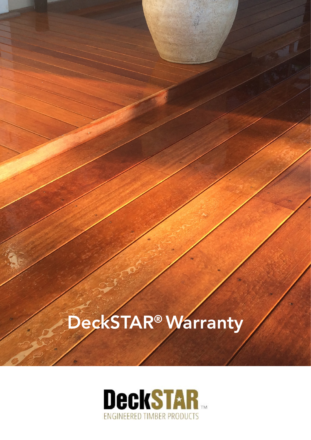## DeckSTAR® Warranty